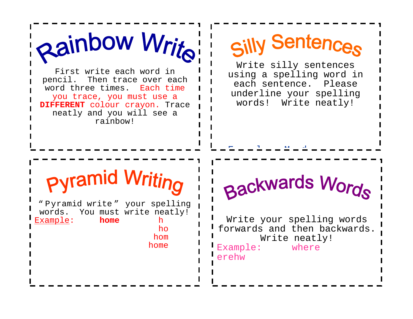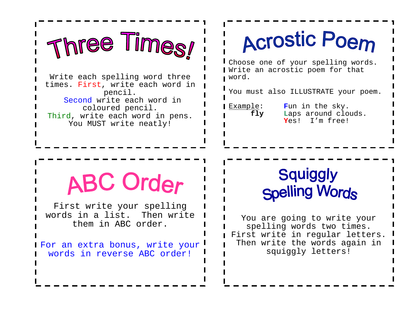

Third, write each word in pens. You MUST write neatly!

## **Acrostic Poem**

Choose one of your spelling words. Write an acrostic poem for that word.

You must also ILLUSTRATE your poem.

Example: **F**un in the sky.<br>**fly** Laps around clo Laps around clouds. **Y**es! I'm free!

## **ABC Order**

First write your spelling words in a list. Then write them in ABC order.

For an extra bonus, write your words in reverse ABC order!

#### **Squiggly Spelling Words**

You are going to write your spelling words two times. First write in regular letters. Then write the words again in squiggly letters!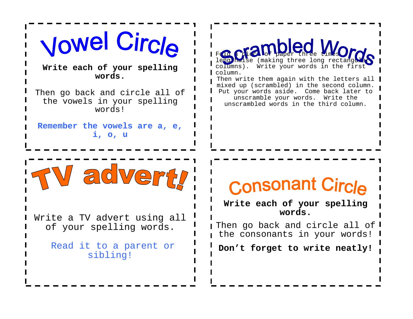

Read it to a parent or sibling!

Fold a piccloi paper three times lengthwise (making three long rectangular) columns). Write your words in the first column. Then write them again with the letters all | mixed up (scrambled) in the second column. Put your words aside. Come back later to unscramble your words. Write the unscrambled words in the third column.

#### Consonant Circle

**Write each of your spelling words.** 

I Then go back and circle all of  $\mathsf I$ the consonants in your words!

**Don't forget to write neatly!**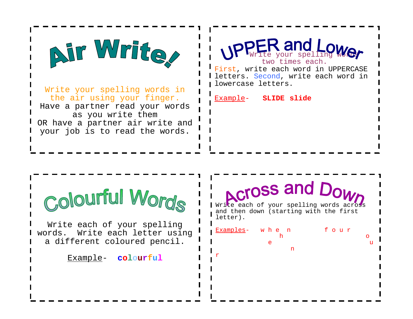

Write your spelling words in the air using your finger. Have a partner read your words as you write them OR have a partner air write and your job is to read the words.



Example- **SLIDE slide**



Write each of your spelling words. Write each letter using a different coloured pencil.

Example- **colourful**

### **Across and Dow**

Write each of your spelling words across and then down (starting with the first letter).

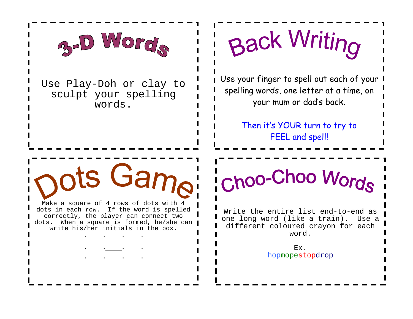

Use Play-Doh or clay to sculpt your spelling words.

pots Gampi

Make a square of 4 rows of dots with 4 dots in each row. If the word is spelled correctly, the player can connect two dots. When a square is formed, he/she can write his/her initials in the box.

# **Back Writing**

Use your finger to spell out each of your spelling words, one letter at a time, on your mum or dad's back.

> Then it's YOUR turn to try to FEEL and spell!

Choo-Choo Words

Write the entire list end-to-end as one long word (like a train). Use a different coloured crayon for each word.

> Ex. hopmopestopdrop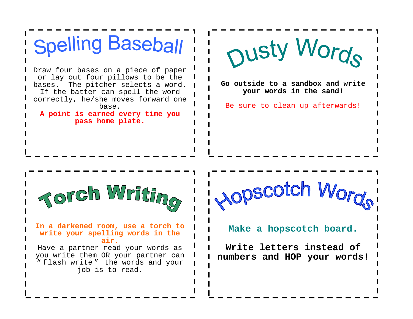

you write them OR your partner can " flash write " the words and your job is to read.

**Write letters instead of numbers and HOP your words!**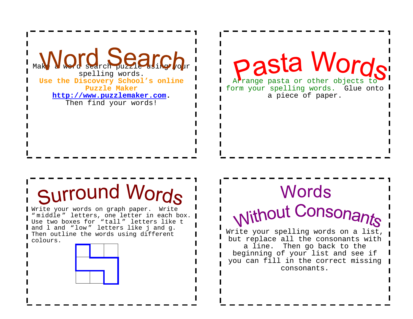

pasta Words Arrange pasta or other objects to

form your spelling words. Glue onto a piece of paper.

#### Surround Words

Write your words on graph paper. Write " middle " letters, one letter in each box.  $\blacksquare$ Use two boxes for "tall " letters like t and l and "low " letters like j and g. Then outline the words using different colours.



#### Words **Without Consonants** Write your spelling words on a list,

but replace all the consonants with a line. Then go back to the beginning of your list and see if you can fill in the correct missing consonants.